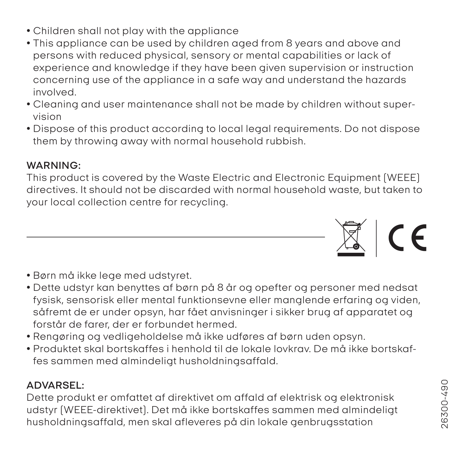- *Children shall not play with the appliance*
- *This appliance can be used by children aged from 8 years and above and persons with reduced physical, sensory or mental capabilities or lack of experience and knowledge if they have been given supervision or instruction concerning use of the appliance in a safe way and understand the hazards involved.*
- *Cleaning and user maintenance shall not be made by children without supervision*
- *Dispose of this product according to local legal requirements. Do not dispose them by throwing away with normal household rubbish.*

## *WARNING:*

*This product is covered by the Waste Electric and Electronic Equipment (WEEE) directives. It should not be discarded with normal household waste, but taken to your local collection centre for recycling.*

- *Børn må ikke lege med udstyret.*
- *Dette udstyr kan benyttes af børn på 8 år og opefter og personer med nedsat fysisk, sensorisk eller mental funktionsevne eller manglende erfaring og viden, såfremt de er under opsyn, har fået anvisninger i sikker brug af apparatet og forstår de farer, der er forbundet hermed.*
- *Rengøring og vedligeholdelse må ikke udføres af børn uden opsyn.*
- *Produktet skal bortskaffes i henhold til de lokale lovkrav. De må ikke bortskaffes sammen med almindeligt husholdningsaffald.*

## *ADVARSEL:*

*Dette produkt er omfattet af direktivet om affald af elektrisk og elektronisk udstyr (WEEE-direktivet). Det må ikke bortskaffes sammen med almindeligt husholdningsaffald, men skal afleveres på din lokale genbrugsstation*



 $\mathbb{Z}$  | CE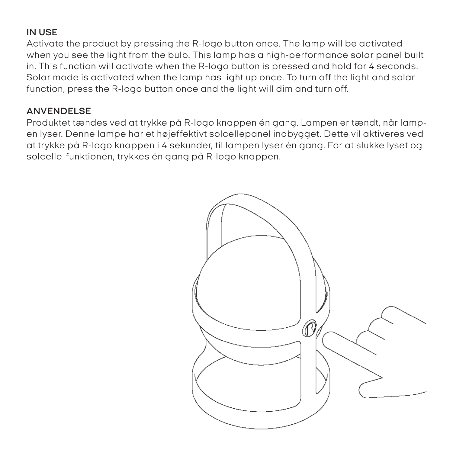## *IN USE*

*Activate the product by pressing the R-logo button once. The lamp will be activated when you see the light from the bulb. This lamp has a high-performance solar panel built in. This function will activate when the R-logo button is pressed and hold for 4 seconds. Solar mode is activated when the lamp has light up once. To turn off the light and solar function, press the R-logo button once and the light will dim and turn off.*

## *ANVENDELSE*

*Produktet tændes ved at trykke på R-logo knappen én gang. Lampen er tændt, når lampen lyser. Denne lampe har et højeffektivt solcellepanel indbygget. Dette vil aktiveres ved at trykke på R-logo knappen i 4 sekunder, til lampen lyser én gang. For at slukke lyset og solcelle-funktionen, trykkes én gang på R-logo knappen.*

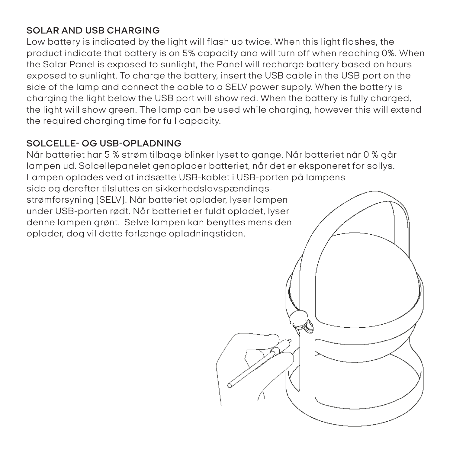## *SOLAR AND USB CHARGING*

*Low battery is indicated by the light will flash up twice. When this light flashes, the product indicate that battery is on 5% capacity and will turn off when reaching 0%. When the Solar Panel is exposed to sunlight, the Panel will recharge battery based on hours exposed to sunlight. To charge the battery, insert the USB cable in the USB port on the side of the lamp and connect the cable to a SELV power supply. When the battery is charging the light below the USB port will show red. When the battery is fully charged, the light will show green. The lamp can be used while charging, however this will extend the required charging time for full capacity.* 

## *SOLCELLE- OG USB-OPLADNING*

*Når batteriet har 5 % strøm tilbage blinker lyset to gange. Når batteriet når 0 % går lampen ud. Solcellepanelet genoplader batteriet, når det er eksponeret for sollys. Lampen oplades ved at indsætte USB-kablet i USB-porten på lampens side og derefter tilsluttes en sikkerhedslavspændingsstrømforsyning (SELV). Når batteriet oplader, lyser lampen under USB-porten rødt. Når batteriet er fuldt opladet, lyser denne lampen grønt. Selve lampen kan benyttes mens den oplader, dog vil dette forlænge opladningstiden.*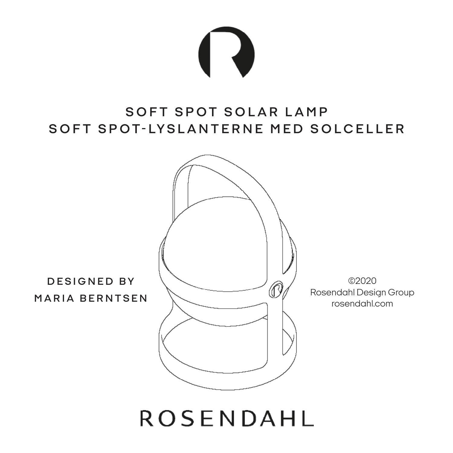

## *SOFT SPOT SOLAR LAMP* S O F T S P O T - LY S L A N T E R N E M E D S O L C E L L E R



# **ROSENDAHL**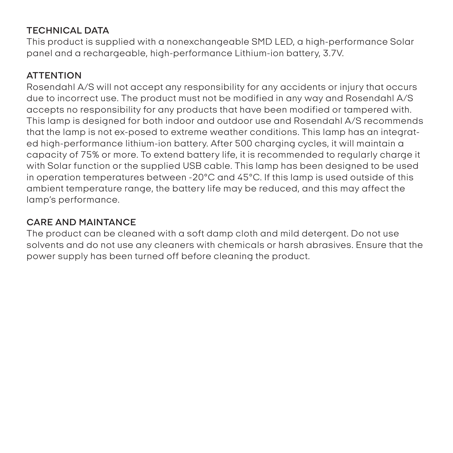## *TECHNICAL DATA*

*This product is supplied with a nonexchangeable SMD LED, a high-performance Solar panel and a rechargeable, high-performance Lithium-ion battery, 3.7V.*

## *ATTENTION*

*Rosendahl A/S will not accept any responsibility for any accidents or injury that occurs due to incorrect use. The product must not be modified in any way and Rosendahl A/S accepts no responsibility for any products that have been modified or tampered with. This lamp is designed for both indoor and outdoor use and Rosendahl A/S recommends that the lamp is not ex-posed to extreme weather conditions. This lamp has an integrated high-performance lithium-ion battery. After 500 charging cycles, it will maintain a capacity of 75% or more. To extend battery life, it is recommended to regularly charge it with Solar function or the supplied USB cable. This lamp has been designed to be used in operation temperatures between -20°C and 45°C. If this lamp is used outside of this ambient temperature range, the battery life may be reduced, and this may affect the lamp's performance.*

## *CARE AND MAINTANCE*

*The product can be cleaned with a soft damp cloth and mild detergent. Do not use solvents and do not use any cleaners with chemicals or harsh abrasives. Ensure that the power supply has been turned off before cleaning the product.*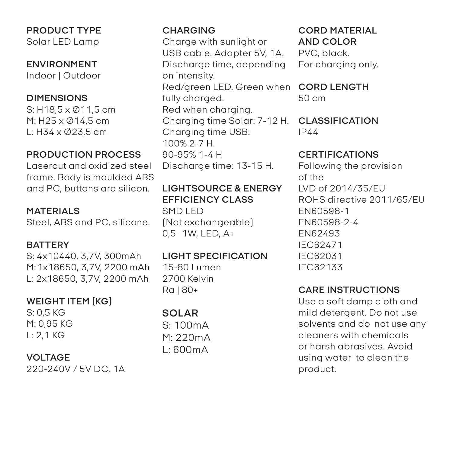*PRODUCT TYPE Solar LED Lamp*

*ENVIRONMENT Indoor | Outdoor* 

#### *DIMENSIONS*

*S: H18,5 x Ø11,5 cm M: H25 x Ø14,5 cm L: H34 x Ø23,5 cm*

## *PRODUCTION PROCESS*

*Lasercut and oxidized steel frame. Body is moulded ABS and PC, buttons are silicon.*

*MATERIALS Steel, ABS and PC, silicone.*

#### *BATTERY*

*S: 4x10440, 3,7V, 300mAh M: 1x18650, 3,7V, 2200 mAh L: 2x18650, 3,7V, 2200 mAh*

## *WEIGHT ITEM (KG)*

*S: 0,5 KG M: 0,95 KG L: 2,1 KG*

#### *VOLTAGE*

*220-240V / 5V DC, 1A*

#### *CHARGING Charge with sunlight or USB cable. Adapter 5V, 1A. Discharge time, depending on intensity. Red/green LED. Green when fully charged. Red when charging. Charging time Solar: 7-12 H. Charging time USB: 100% 2-7 H. 90-95% 1-4 H Discharge time: 13-15 H.*

*LIGHTSOURCE & ENERGY EFFICIENCY CLASS SMD LED (Not exchangeable) 0,5 -1W, LED, A+*

## *LIGHT SPECIFICATION*

*15-80 Lumen 2700 Kelvin Ra | 80+*

## *SOLAR*

*S: 100mA M: 220mA L: 600mA*

#### *CORD MATERIAL AND COLOR PVC, black. For charging only.*

*CORD LENGTH 50 cm*

#### *CLASSIFICATION IP44*

#### *CERTIFICATIONS*

*Following the provision of the LVD of 2014/35/EU ROHS directive 2011/65/EU EN60598-1 EN60598-2-4 EN62493 IEC62471 IEC62031 IEC62133*

#### *CARE INSTRUCTIONS*

*Use a soft damp cloth and mild detergent. Do not use solvents and do not use any cleaners with chemicals or harsh abrasives. Avoid using water to clean the product.*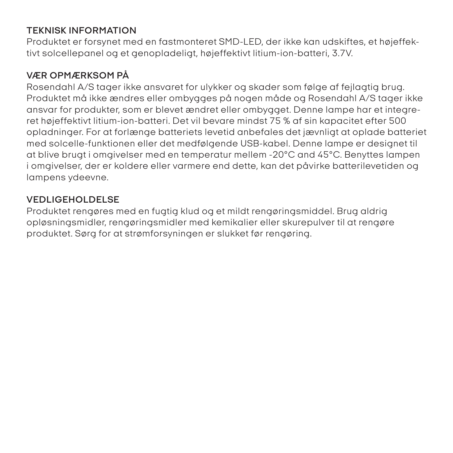## *TEKNISK INFORMATION*

*Produktet er forsynet med en fastmonteret SMD-LED, der ikke kan udskiftes, et højeffektivt solcellepanel og et genopladeligt, højeffektivt litium-ion-batteri, 3.7V.*

## *VÆR OPMÆRKSOM PÅ*

*Rosendahl A/S tager ikke ansvaret for ulykker og skader som følge af fejlagtig brug. Produktet må ikke ændres eller ombygges på nogen måde og Rosendahl A/S tager ikke ansvar for produkter, som er blevet ændret eller ombygget. Denne lampe har et integreret højeffektivt litium-ion-batteri. Det vil bevare mindst 75 % af sin kapacitet efter 500 opladninger. For at forlænge batteriets levetid anbefales det jævnligt at oplade batteriet med solcelle-funktionen eller det medfølgende USB-kabel. Denne lampe er designet til at blive brugt i omgivelser med en temperatur mellem -20°C and 45°C. Benyttes lampen i omgivelser, der er koldere eller varmere end dette, kan det påvirke batterilevetiden og lampens ydeevne.*

## *VEDLIGEHOLDELSE*

*Produktet rengøres med en fugtig klud og et mildt rengøringsmiddel. Brug aldrig opløsningsmidler, rengøringsmidler med kemikalier eller skurepulver til at rengøre produktet. Sørg for at strømforsyningen er slukket før rengøring.*